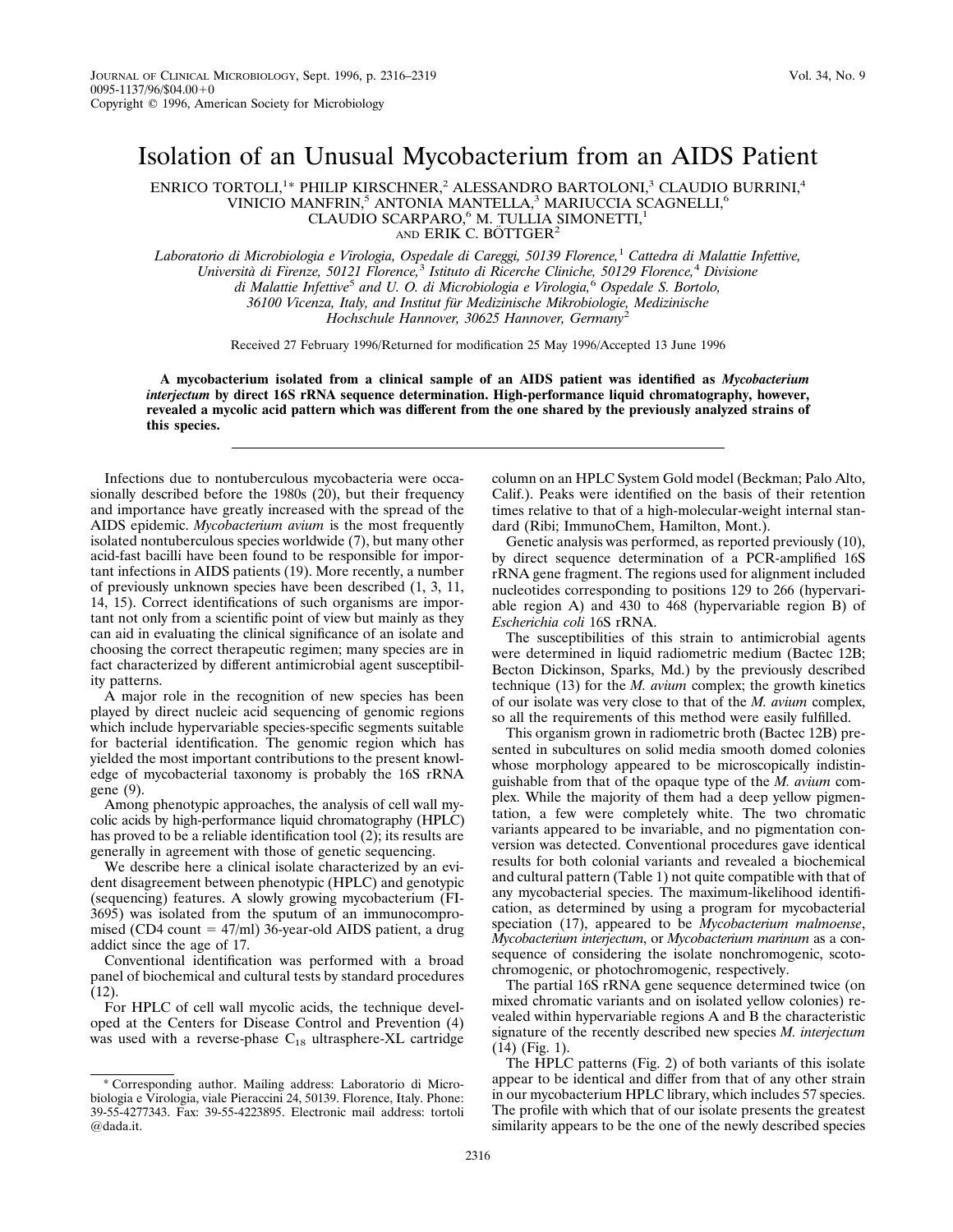## Isolation of an Unusual Mycobacterium from an AIDS Patient

ENRICO TORTOLI,<sup>1</sup>\* PHILIP KIRSCHNER,<sup>2</sup> ALESSANDRO BARTOLONI,<sup>3</sup> CLAUDIO BURRINI,<sup>4</sup> VINICIO MANFRIN,<sup>5</sup> ANTONIA MANTELLA,<sup>3</sup> MARIUCCIA SCAGNELLI,<sup>6</sup> CLAUDIO SCARPARO,<sup>6</sup> M. TULLIA SIMONETTI,<sup>1</sup> AND ERIK C. BÖTTGER<sup>2</sup>

*Laboratorio di Microbiologia e Virologia, Ospedale di Careggi, 50139 Florence,*<sup>1</sup> *Cattedra di Malattie Infettive, Universita` di Firenze, 50121 Florence,*<sup>3</sup> *Istituto di Ricerche Cliniche, 50129 Florence,*<sup>4</sup> *Divisione di Malattie Infettive*<sup>5</sup> *and U. O. di Microbiologia e Virologia,*<sup>6</sup> *Ospedale S. Bortolo, 36100 Vicenza, Italy, and Institut fu¨r Medizinische Mikrobiologie, Medizinische Hochschule Hannover, 30625 Hannover, Germany*<sup>2</sup>

Received 27 February 1996/Returned for modification 25 May 1996/Accepted 13 June 1996

**A mycobacterium isolated from a clinical sample of an AIDS patient was identified as** *Mycobacterium interjectum* **by direct 16S rRNA sequence determination. High-performance liquid chromatography, however, revealed a mycolic acid pattern which was different from the one shared by the previously analyzed strains of this species.**

Infections due to nontuberculous mycobacteria were occasionally described before the 1980s (20), but their frequency and importance have greatly increased with the spread of the AIDS epidemic. *Mycobacterium avium* is the most frequently isolated nontuberculous species worldwide (7), but many other acid-fast bacilli have been found to be responsible for important infections in AIDS patients (19). More recently, a number of previously unknown species have been described (1, 3, 11, 14, 15). Correct identifications of such organisms are important not only from a scientific point of view but mainly as they can aid in evaluating the clinical significance of an isolate and choosing the correct therapeutic regimen; many species are in fact characterized by different antimicrobial agent susceptibility patterns.

A major role in the recognition of new species has been played by direct nucleic acid sequencing of genomic regions which include hypervariable species-specific segments suitable for bacterial identification. The genomic region which has yielded the most important contributions to the present knowledge of mycobacterial taxonomy is probably the 16S rRNA gene (9).

Among phenotypic approaches, the analysis of cell wall mycolic acids by high-performance liquid chromatography (HPLC) has proved to be a reliable identification tool (2); its results are generally in agreement with those of genetic sequencing.

We describe here a clinical isolate characterized by an evident disagreement between phenotypic (HPLC) and genotypic (sequencing) features. A slowly growing mycobacterium (FI-3695) was isolated from the sputum of an immunocompromised (CD4 count  $= 47/ml$ ) 36-year-old AIDS patient, a drug addict since the age of 17.

Conventional identification was performed with a broad panel of biochemical and cultural tests by standard procedures (12).

For HPLC of cell wall mycolic acids, the technique developed at the Centers for Disease Control and Prevention (4) was used with a reverse-phase  $C_{18}$  ultrasphere-XL cartridge

column on an HPLC System Gold model (Beckman; Palo Alto, Calif.). Peaks were identified on the basis of their retention times relative to that of a high-molecular-weight internal standard (Ribi; ImmunoChem, Hamilton, Mont.).

Genetic analysis was performed, as reported previously (10), by direct sequence determination of a PCR-amplified 16S rRNA gene fragment. The regions used for alignment included nucleotides corresponding to positions 129 to 266 (hypervariable region A) and 430 to 468 (hypervariable region B) of *Escherichia coli* 16S rRNA.

The susceptibilities of this strain to antimicrobial agents were determined in liquid radiometric medium (Bactec 12B; Becton Dickinson, Sparks, Md.) by the previously described technique (13) for the *M. avium* complex; the growth kinetics of our isolate was very close to that of the *M. avium* complex, so all the requirements of this method were easily fulfilled.

This organism grown in radiometric broth (Bactec 12B) presented in subcultures on solid media smooth domed colonies whose morphology appeared to be microscopically indistinguishable from that of the opaque type of the *M. avium* complex. While the majority of them had a deep yellow pigmentation, a few were completely white. The two chromatic variants appeared to be invariable, and no pigmentation conversion was detected. Conventional procedures gave identical results for both colonial variants and revealed a biochemical and cultural pattern (Table 1) not quite compatible with that of any mycobacterial species. The maximum-likelihood identification, as determined by using a program for mycobacterial speciation (17), appeared to be *Mycobacterium malmoense*, *Mycobacterium interjectum*, or *Mycobacterium marinum* as a consequence of considering the isolate nonchromogenic, scotochromogenic, or photochromogenic, respectively.

The partial 16S rRNA gene sequence determined twice (on mixed chromatic variants and on isolated yellow colonies) revealed within hypervariable regions A and B the characteristic signature of the recently described new species *M. interjectum* (14) (Fig. 1).

The HPLC patterns (Fig. 2) of both variants of this isolate appear to be identical and differ from that of any other strain in our mycobacterium HPLC library, which includes 57 species. The profile with which that of our isolate presents the greatest similarity appears to be the one of the newly described species

<sup>\*</sup> Corresponding author. Mailing address: Laboratorio di Microbiologia e Virologia, viale Pieraccini 24, 50139. Florence, Italy. Phone: 39-55-4277343. Fax: 39-55-4223895. Electronic mail address: tortoli @dada.it.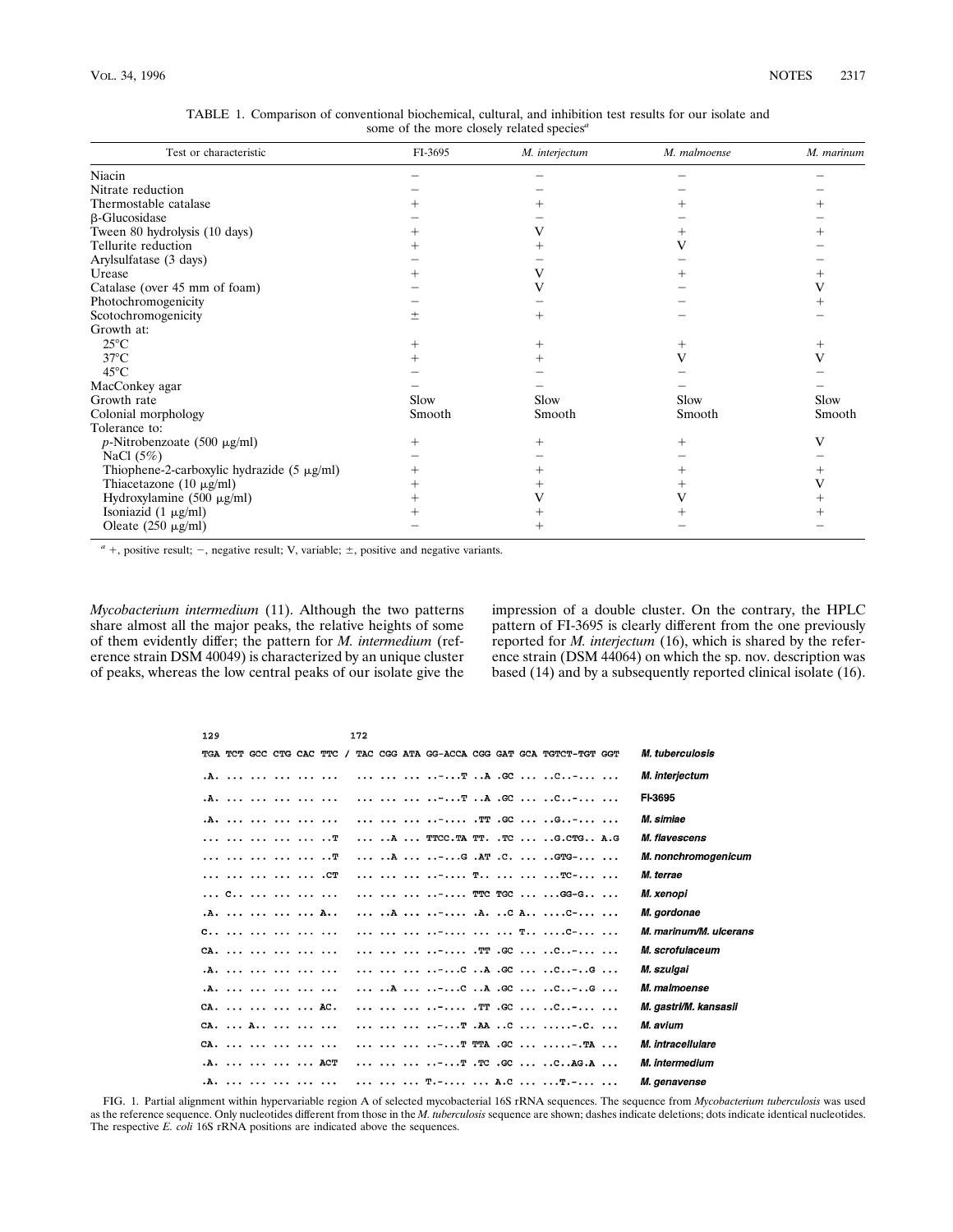| Test or characteristic                          | FI-3695 | M. interjectum | M. malmoense | M. marinum |
|-------------------------------------------------|---------|----------------|--------------|------------|
| Niacin                                          |         |                |              |            |
| Nitrate reduction                               |         |                |              |            |
| Thermostable catalase                           |         |                |              |            |
| $\beta$ -Glucosidase                            |         |                |              |            |
| Tween 80 hydrolysis (10 days)                   |         |                |              |            |
| Tellurite reduction                             |         |                |              |            |
| Arylsulfatase (3 days)                          |         |                |              |            |
| Urease                                          |         |                |              |            |
| Catalase (over 45 mm of foam)                   |         |                |              |            |
| Photochromogenicity                             |         |                |              |            |
| Scotochromogenicity                             | $\pm$   |                |              |            |
| Growth at:                                      |         |                |              |            |
| $25^{\circ}$ C                                  |         |                | ┿            | +          |
| $37^{\circ}$ C                                  |         |                |              | V          |
| $45^{\circ}$ C                                  |         |                |              |            |
| MacConkey agar                                  |         |                |              |            |
| Growth rate                                     | Slow    | Slow           | Slow         | Slow       |
| Colonial morphology                             | Smooth  | Smooth         | Smooth       | Smooth     |
| Tolerance to:                                   |         |                |              |            |
| $p$ -Nitrobenzoate (500 µg/ml)                  |         |                | ┿            | V          |
| NaCl $(5\%)$                                    |         |                |              |            |
| Thiophene-2-carboxylic hydrazide $(5 \mu g/ml)$ |         |                |              |            |
| Thiacetazone $(10 \mu g/ml)$                    |         |                |              |            |
| Hydroxylamine $(500 \mu g/ml)$                  |         |                |              |            |
| Isoniazid $(1 \mu g/ml)$                        |         |                |              |            |
| Oleate $(250 \mu g/ml)$                         |         |                |              |            |

TABLE 1. Comparison of conventional biochemical, cultural, and inhibition test results for our isolate and some of the more closely related species*<sup>a</sup>*

 $a +$ , positive result;  $-$ , negative result; V, variable;  $\pm$ , positive and negative variants.

*Mycobacterium intermedium* (11). Although the two patterns share almost all the major peaks, the relative heights of some of them evidently differ; the pattern for *M. intermedium* (reference strain DSM 40049) is characterized by an unique cluster of peaks, whereas the low central peaks of our isolate give the impression of a double cluster. On the contrary, the HPLC pattern of FI-3695 is clearly different from the one previously reported for *M. interjectum* (16), which is shared by the reference strain (DSM 44064) on which the sp. nov. description was based (14) and by a subsequently reported clinical isolate (16).

| 129                                                                                                                                          | 172                                                                                                                           |                        |
|----------------------------------------------------------------------------------------------------------------------------------------------|-------------------------------------------------------------------------------------------------------------------------------|------------------------|
| TGA TCT GCC CTG CAC TTC                                                                                                                      | TAC CGG ATA GG-ACCA CGG GAT GCA TGTCT-TGT GGT<br>$\prime$                                                                     | <i>M. tuberculosis</i> |
| .A.                                                                                                                                          |                                                                                                                               | M. interiectum         |
| .A.                                                                                                                                          | -T A .GC  C-                                                                                                                  | FI-3695                |
| .A.                                                                                                                                          | - TT .GC  G-                                                                                                                  | M. simiae              |
|                                                                                                                                              | A  TTCC.TA TT. .TC  G.CTG A.G                                                                                                 | M. flavescens          |
|                                                                                                                                              | A  -G .AT .C.  GTG-                                                                                                           | M. nonchromogenicum    |
| .CT                                                                                                                                          | - T   TC-                                                                                                                     | M. terrae              |
| C                                                                                                                                            | - TTC TGC  GG-G                                                                                                               | M. xenopi              |
| .A.     A                                                                                                                                    | $\ldots$ $A$ - . $A$ . $C$ $A$ $C$ -                                                                                          | M. gordonae            |
| $C_{11}$ , $C_{22}$ , $C_{33}$ , $C_{41}$ , $C_{42}$ , $C_{43}$ , $C_{44}$ , $C_{45}$ , $C_{45}$ , $C_{46}$ , $C_{47}$ , $C_{48}$ , $C_{49}$ | -   T C-                                                                                                                      | M. marinum/M. ulcerans |
| $CA.$                                                                                                                                        | - TT .GC  C-                                                                                                                  | M. scrofulaceum        |
| .A.                                                                                                                                          | $\ldots$ -C A .GC  C-G                                                                                                        | M. szulgai             |
| .A.                                                                                                                                          |                                                                                                                               | M. malmoense           |
| $CA.$ $AC.$                                                                                                                                  | - TT .GC  C-                                                                                                                  | M. gastri/M. kansasii  |
| $CA.$ $A.$                                                                                                                                   | -T .AA C  C.                                                                                                                  | M. avium               |
| $CA.$                                                                                                                                        | -T TTA .GC  TA                                                                                                                | M. intracellulare      |
| .A.     ACT                                                                                                                                  | $\cdots$ $\cdots$ $\cdots$ $\cdots$ $\cdots$ $\cdots$ $\cdots$ $\cdots$ $\cdots$ $\cdots$ $\cdots$ $\cdots$ $\cdots$ $\cdots$ | M. intermedium         |
| .A.                                                                                                                                          | T.-  A.C  T.-                                                                                                                 | <i>M. genavense</i>    |

FIG. 1. Partial alignment within hypervariable region A of selected mycobacterial 16S rRNA sequences. The sequence from *Mycobacterium tuberculosis* was used as the reference sequence. Only nucleotides different from those in the *M. tuberculosis* sequence are shown; dashes indicate deletions; dots indicate identical nucleotides. The respective *E. coli* 16S rRNA positions are indicated above the sequences.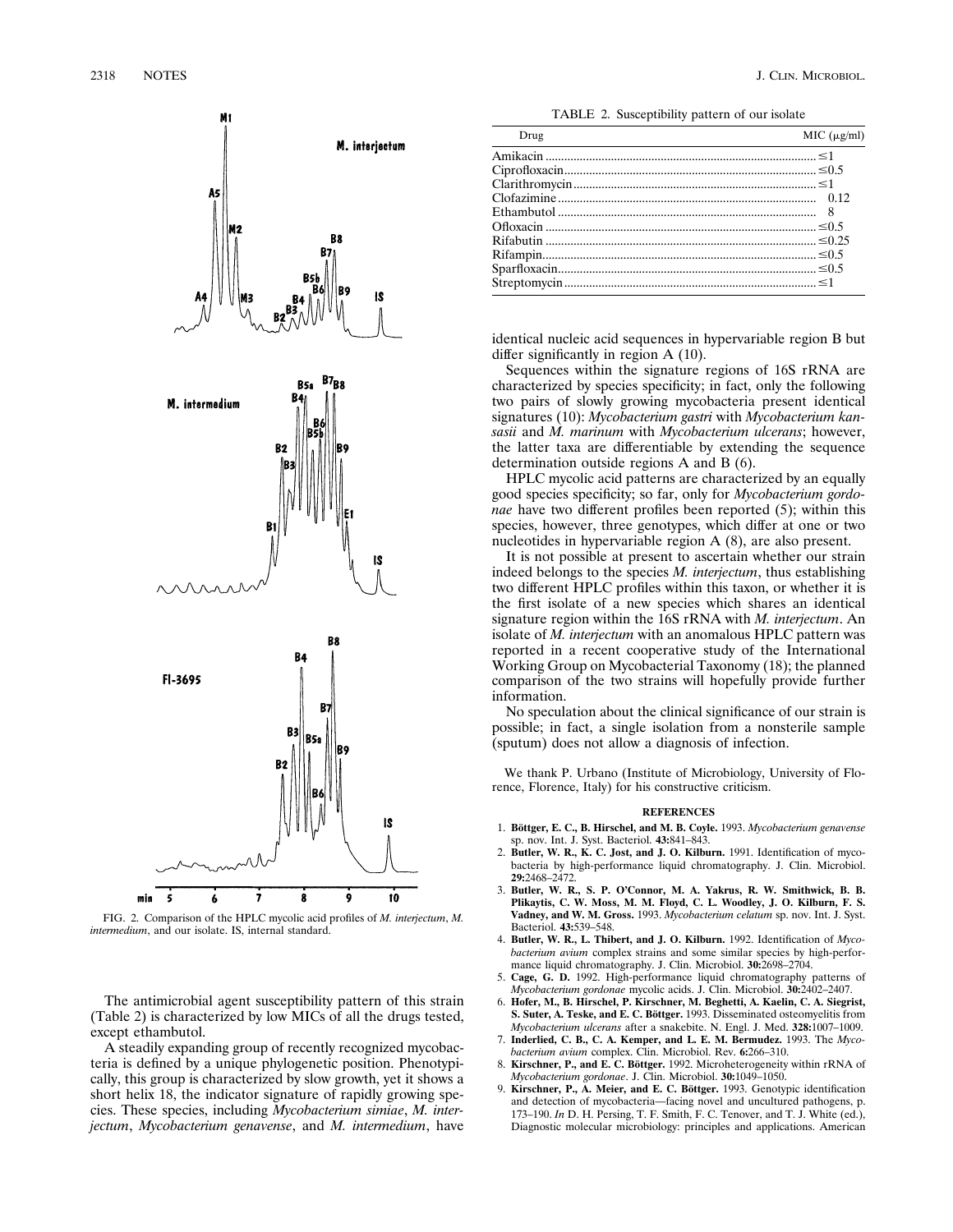

FIG. 2. Comparison of the HPLC mycolic acid profiles of *M. interjectum*, *M. intermedium*, and our isolate. IS, internal standard.

The antimicrobial agent susceptibility pattern of this strain (Table 2) is characterized by low MICs of all the drugs tested, except ethambutol.

A steadily expanding group of recently recognized mycobacteria is defined by a unique phylogenetic position. Phenotypically, this group is characterized by slow growth, yet it shows a short helix 18, the indicator signature of rapidly growing species. These species, including *Mycobacterium simiae*, *M. interjectum*, *Mycobacterium genavense*, and *M. intermedium*, have

TABLE 2. Susceptibility pattern of our isolate

| Drug | MIC (µg/ml) |
|------|-------------|
|      |             |
|      |             |
|      |             |
|      |             |
|      |             |
|      |             |
|      |             |
|      |             |
|      |             |
|      |             |
|      |             |

identical nucleic acid sequences in hypervariable region B but differ significantly in region A (10).

Sequences within the signature regions of 16S rRNA are characterized by species specificity; in fact, only the following two pairs of slowly growing mycobacteria present identical signatures (10): *Mycobacterium gastri* with *Mycobacterium kansasii* and *M. marinum* with *Mycobacterium ulcerans*; however, the latter taxa are differentiable by extending the sequence determination outside regions A and B (6).

HPLC mycolic acid patterns are characterized by an equally good species specificity; so far, only for *Mycobacterium gordonae* have two different profiles been reported (5); within this species, however, three genotypes, which differ at one or two nucleotides in hypervariable region A (8), are also present.

It is not possible at present to ascertain whether our strain indeed belongs to the species *M. interjectum*, thus establishing two different HPLC profiles within this taxon, or whether it is the first isolate of a new species which shares an identical signature region within the 16S rRNA with *M. interjectum*. An isolate of *M. interjectum* with an anomalous HPLC pattern was reported in a recent cooperative study of the International Working Group on Mycobacterial Taxonomy (18); the planned comparison of the two strains will hopefully provide further information.

No speculation about the clinical significance of our strain is possible; in fact, a single isolation from a nonsterile sample (sputum) does not allow a diagnosis of infection.

We thank P. Urbano (Institute of Microbiology, University of Florence, Florence, Italy) for his constructive criticism.

## **REFERENCES**

- 1. Böttger, E. C., B. Hirschel, and M. B. Coyle. 1993. Mycobacterium genavense sp. nov. Int. J. Syst. Bacteriol. **43:**841–843.
- 2. **Butler, W. R., K. C. Jost, and J. O. Kilburn.** 1991. Identification of mycobacteria by high-performance liquid chromatography. J. Clin. Microbiol. **29:**2468–2472.
- 3. **Butler, W. R., S. P. O'Connor, M. A. Yakrus, R. W. Smithwick, B. B. Plikaytis, C. W. Moss, M. M. Floyd, C. L. Woodley, J. O. Kilburn, F. S. Vadney, and W. M. Gross.** 1993. *Mycobacterium celatum* sp. nov. Int. J. Syst. Bacteriol. **43:**539–548.
- 4. **Butler, W. R., L. Thibert, and J. O. Kilburn.** 1992. Identification of *Mycobacterium avium* complex strains and some similar species by high-performance liquid chromatography. J. Clin. Microbiol. **30:**2698–2704.
- 5. **Cage, G. D.** 1992. High-performance liquid chromatography patterns of *Mycobacterium gordonae* mycolic acids. J. Clin. Microbiol. **30:**2402–2407.
- 6. **Hofer, M., B. Hirschel, P. Kirschner, M. Beghetti, A. Kaelin, C. A. Siegrist, S. Suter, A. Teske, and E. C. Böttger.** 1993. Disseminated osteomyelitis from *Mycobacterium ulcerans* after a snakebite. N. Engl. J. Med. **328:**1007–1009.
- 7. **Inderlied, C. B., C. A. Kemper, and L. E. M. Bermudez.** 1993. The *Mycobacterium avium* complex. Clin. Microbiol. Rev. **6:**266–310.
- 8. Kirschner, P., and E. C. Böttger. 1992. Microheterogeneity within rRNA of *Mycobacterium gordonae*. J. Clin. Microbiol. **30:**1049–1050.
- 9. Kirschner, P., A. Meier, and E. C. Böttger. 1993. Genotypic identification and detection of mycobacteria—facing novel and uncultured pathogens, p. 173–190. *In* D. H. Persing, T. F. Smith, F. C. Tenover, and T. J. White (ed.), Diagnostic molecular microbiology: principles and applications. American